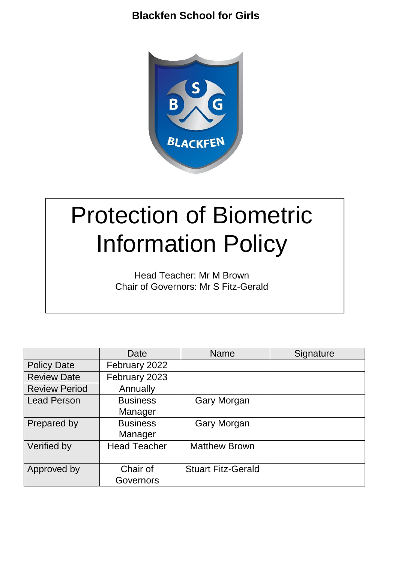

# Protection of Biometric Information Policy

Head Teacher: Mr M Brown Chair of Governors: Mr S Fitz-Gerald

|                      | Date                | <b>Name</b>               | Signature |
|----------------------|---------------------|---------------------------|-----------|
| <b>Policy Date</b>   | February 2022       |                           |           |
| <b>Review Date</b>   | February 2023       |                           |           |
| <b>Review Period</b> | Annually            |                           |           |
| <b>Lead Person</b>   | <b>Business</b>     | <b>Gary Morgan</b>        |           |
|                      | Manager             |                           |           |
| Prepared by          | <b>Business</b>     | <b>Gary Morgan</b>        |           |
|                      | Manager             |                           |           |
| Verified by          | <b>Head Teacher</b> | <b>Matthew Brown</b>      |           |
|                      |                     |                           |           |
| Approved by          | Chair of            | <b>Stuart Fitz-Gerald</b> |           |
|                      | Governors           |                           |           |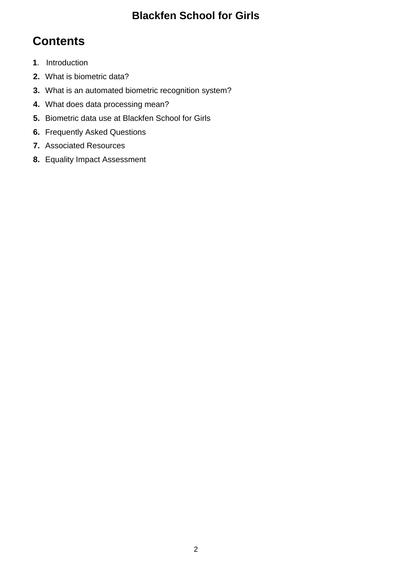# **Contents**

- **1**. Introduction
- **2.** What is biometric data?
- **3.** What is an automated biometric recognition system?
- **4.** What does data processing mean?
- **5.** Biometric data use at Blackfen School for Girls
- **6.** Frequently Asked Questions
- **7.** Associated Resources
- **8.** Equality Impact Assessment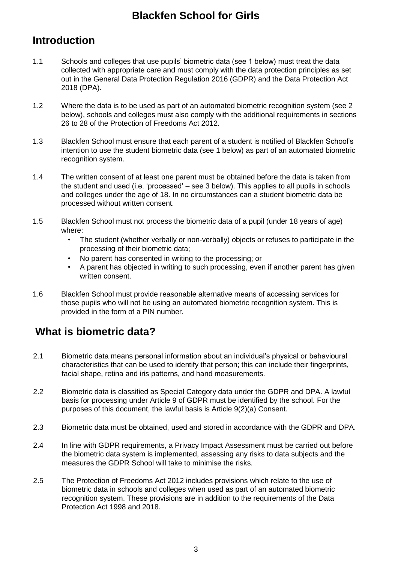### **Introduction**

- 1.1 Schools and colleges that use pupils' biometric data (see 1 below) must treat the data collected with appropriate care and must comply with the data protection principles as set out in the General Data Protection Regulation 2016 (GDPR) and the Data Protection Act 2018 (DPA).
- 1.2 Where the data is to be used as part of an automated biometric recognition system (see 2 below), schools and colleges must also comply with the additional requirements in sections 26 to 28 of the Protection of Freedoms Act 2012.
- 1.3 Blackfen School must ensure that each parent of a student is notified of Blackfen School's intention to use the student biometric data (see 1 below) as part of an automated biometric recognition system.
- 1.4 The written consent of at least one parent must be obtained before the data is taken from the student and used (i.e. 'processed' – see 3 below). This applies to all pupils in schools and colleges under the age of 18. In no circumstances can a student biometric data be processed without written consent.
- 1.5 Blackfen School must not process the biometric data of a pupil (under 18 years of age) where:
	- The student (whether verbally or non-verbally) objects or refuses to participate in the processing of their biometric data;
	- No parent has consented in writing to the processing; or
	- A parent has objected in writing to such processing, even if another parent has given written consent.
- 1.6 Blackfen School must provide reasonable alternative means of accessing services for those pupils who will not be using an automated biometric recognition system. This is provided in the form of a PIN number.

# **What is biometric data?**

- 2.1 Biometric data means personal information about an individual's physical or behavioural characteristics that can be used to identify that person; this can include their fingerprints, facial shape, retina and iris patterns, and hand measurements.
- 2.2 Biometric data is classified as Special Category data under the GDPR and DPA. A lawful basis for processing under Article 9 of GDPR must be identified by the school. For the purposes of this document, the lawful basis is Article 9(2)(a) Consent.
- 2.3 Biometric data must be obtained, used and stored in accordance with the GDPR and DPA.
- 2.4 In line with GDPR requirements, a Privacy Impact Assessment must be carried out before the biometric data system is implemented, assessing any risks to data subjects and the measures the GDPR School will take to minimise the risks.
- 2.5 The Protection of Freedoms Act 2012 includes provisions which relate to the use of biometric data in schools and colleges when used as part of an automated biometric recognition system. These provisions are in addition to the requirements of the Data Protection Act 1998 and 2018.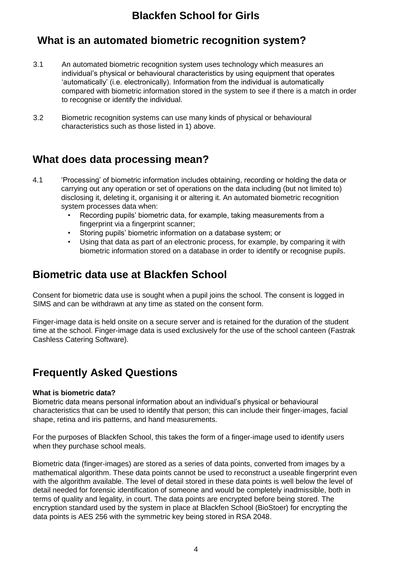### **What is an automated biometric recognition system?**

- 3.1 An automated biometric recognition system uses technology which measures an individual's physical or behavioural characteristics by using equipment that operates 'automatically' (i.e. electronically). Information from the individual is automatically compared with biometric information stored in the system to see if there is a match in order to recognise or identify the individual.
- 3.2 Biometric recognition systems can use many kinds of physical or behavioural characteristics such as those listed in 1) above.

### **What does data processing mean?**

- 4.1 'Processing' of biometric information includes obtaining, recording or holding the data or carrying out any operation or set of operations on the data including (but not limited to) disclosing it, deleting it, organising it or altering it. An automated biometric recognition system processes data when:
	- Recording pupils' biometric data, for example, taking measurements from a fingerprint via a fingerprint scanner;
	- Storing pupils' biometric information on a database system; or
	- Using that data as part of an electronic process, for example, by comparing it with biometric information stored on a database in order to identify or recognise pupils.

### **Biometric data use at Blackfen School**

Consent for biometric data use is sought when a pupil joins the school. The consent is logged in SIMS and can be withdrawn at any time as stated on the consent form.

Finger-image data is held onsite on a secure server and is retained for the duration of the student time at the school. Finger-image data is used exclusively for the use of the school canteen (Fastrak Cashless Catering Software).

### **Frequently Asked Questions**

#### **What is biometric data?**

Biometric data means personal information about an individual's physical or behavioural characteristics that can be used to identify that person; this can include their finger-images, facial shape, retina and iris patterns, and hand measurements.

For the purposes of Blackfen School, this takes the form of a finger-image used to identify users when they purchase school meals.

Biometric data (finger-images) are stored as a series of data points, converted from images by a mathematical algorithm. These data points cannot be used to reconstruct a useable fingerprint even with the algorithm available. The level of detail stored in these data points is well below the level of detail needed for forensic identification of someone and would be completely inadmissible, both in terms of quality and legality, in court. The data points are encrypted before being stored. The encryption standard used by the system in place at Blackfen School (BioStoer) for encrypting the data points is AES 256 with the symmetric key being stored in RSA 2048.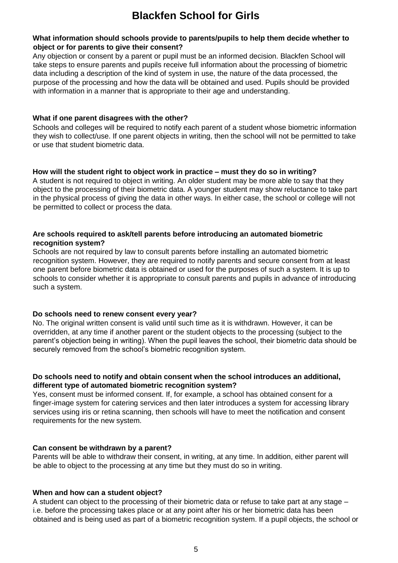#### **What information should schools provide to parents/pupils to help them decide whether to object or for parents to give their consent?**

Any objection or consent by a parent or pupil must be an informed decision. Blackfen School will take steps to ensure parents and pupils receive full information about the processing of biometric data including a description of the kind of system in use, the nature of the data processed, the purpose of the processing and how the data will be obtained and used. Pupils should be provided with information in a manner that is appropriate to their age and understanding.

#### **What if one parent disagrees with the other?**

Schools and colleges will be required to notify each parent of a student whose biometric information they wish to collect/use. If one parent objects in writing, then the school will not be permitted to take or use that student biometric data.

#### **How will the student right to object work in practice – must they do so in writing?**

A student is not required to object in writing. An older student may be more able to say that they object to the processing of their biometric data. A younger student may show reluctance to take part in the physical process of giving the data in other ways. In either case, the school or college will not be permitted to collect or process the data.

#### **Are schools required to ask/tell parents before introducing an automated biometric recognition system?**

Schools are not required by law to consult parents before installing an automated biometric recognition system. However, they are required to notify parents and secure consent from at least one parent before biometric data is obtained or used for the purposes of such a system. It is up to schools to consider whether it is appropriate to consult parents and pupils in advance of introducing such a system.

#### **Do schools need to renew consent every year?**

No. The original written consent is valid until such time as it is withdrawn. However, it can be overridden, at any time if another parent or the student objects to the processing (subject to the parent's objection being in writing). When the pupil leaves the school, their biometric data should be securely removed from the school's biometric recognition system.

#### **Do schools need to notify and obtain consent when the school introduces an additional, different type of automated biometric recognition system?**

Yes, consent must be informed consent. If, for example, a school has obtained consent for a finger-image system for catering services and then later introduces a system for accessing library services using iris or retina scanning, then schools will have to meet the notification and consent requirements for the new system.

#### **Can consent be withdrawn by a parent?**

Parents will be able to withdraw their consent, in writing, at any time. In addition, either parent will be able to object to the processing at any time but they must do so in writing.

#### **When and how can a student object?**

A student can object to the processing of their biometric data or refuse to take part at any stage – i.e. before the processing takes place or at any point after his or her biometric data has been obtained and is being used as part of a biometric recognition system. If a pupil objects, the school or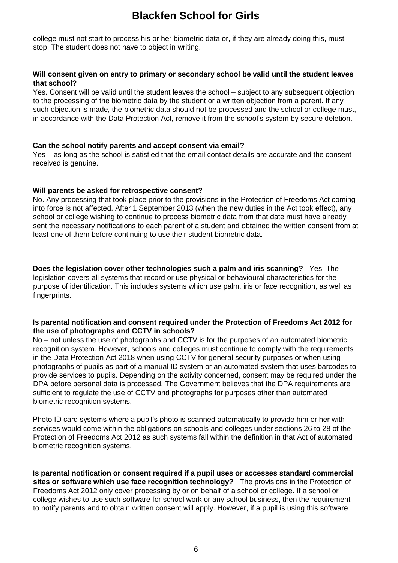college must not start to process his or her biometric data or, if they are already doing this, must stop. The student does not have to object in writing.

#### **Will consent given on entry to primary or secondary school be valid until the student leaves that school?**

Yes. Consent will be valid until the student leaves the school – subject to any subsequent objection to the processing of the biometric data by the student or a written objection from a parent. If any such objection is made, the biometric data should not be processed and the school or college must, in accordance with the Data Protection Act, remove it from the school's system by secure deletion.

#### **Can the school notify parents and accept consent via email?**

Yes – as long as the school is satisfied that the email contact details are accurate and the consent received is genuine.

#### **Will parents be asked for retrospective consent?**

No. Any processing that took place prior to the provisions in the Protection of Freedoms Act coming into force is not affected. After 1 September 2013 (when the new duties in the Act took effect), any school or college wishing to continue to process biometric data from that date must have already sent the necessary notifications to each parent of a student and obtained the written consent from at least one of them before continuing to use their student biometric data.

**Does the legislation cover other technologies such a palm and iris scanning?** Yes. The legislation covers all systems that record or use physical or behavioural characteristics for the purpose of identification. This includes systems which use palm, iris or face recognition, as well as fingerprints.

#### **Is parental notification and consent required under the Protection of Freedoms Act 2012 for the use of photographs and CCTV in schools?**

No – not unless the use of photographs and CCTV is for the purposes of an automated biometric recognition system. However, schools and colleges must continue to comply with the requirements in the Data Protection Act 2018 when using CCTV for general security purposes or when using photographs of pupils as part of a manual ID system or an automated system that uses barcodes to provide services to pupils. Depending on the activity concerned, consent may be required under the DPA before personal data is processed. The Government believes that the DPA requirements are sufficient to regulate the use of CCTV and photographs for purposes other than automated biometric recognition systems.

Photo ID card systems where a pupil's photo is scanned automatically to provide him or her with services would come within the obligations on schools and colleges under sections 26 to 28 of the Protection of Freedoms Act 2012 as such systems fall within the definition in that Act of automated biometric recognition systems.

**Is parental notification or consent required if a pupil uses or accesses standard commercial sites or software which use face recognition technology?** The provisions in the Protection of Freedoms Act 2012 only cover processing by or on behalf of a school or college. If a school or college wishes to use such software for school work or any school business, then the requirement to notify parents and to obtain written consent will apply. However, if a pupil is using this software